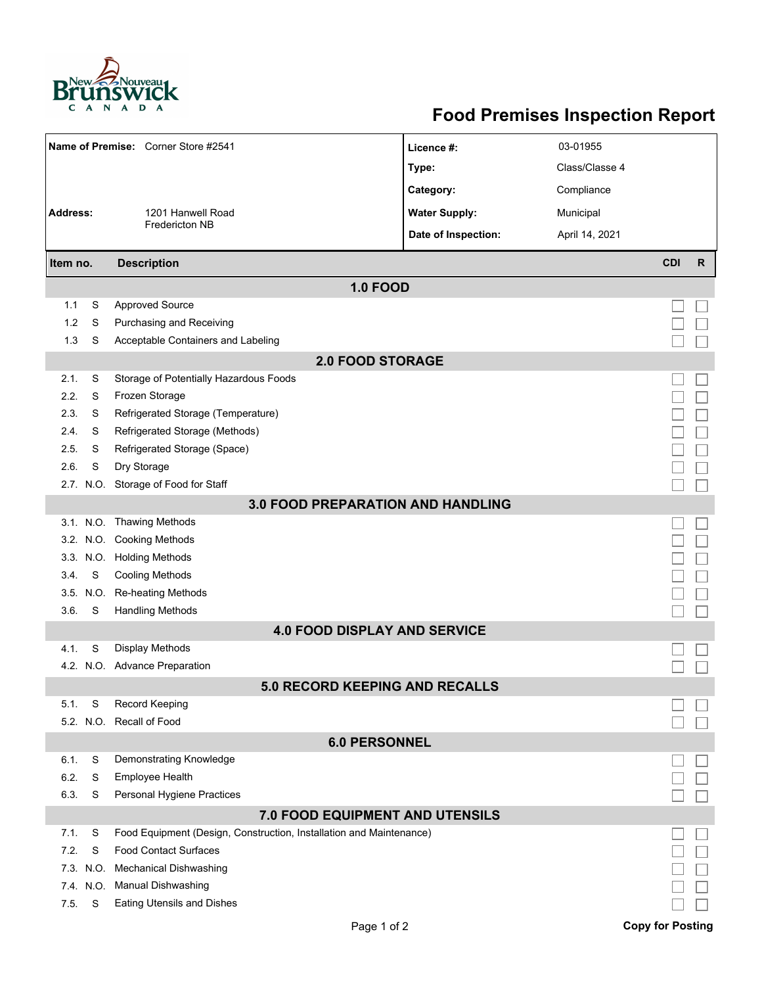

## **Food Premises Inspection Report**

| Name of Premise: Corner Store #2541                                            |           |                                                                     | Licence #:           | 03-01955       |                         |              |  |  |  |  |
|--------------------------------------------------------------------------------|-----------|---------------------------------------------------------------------|----------------------|----------------|-------------------------|--------------|--|--|--|--|
|                                                                                |           |                                                                     | Type:                | Class/Classe 4 |                         |              |  |  |  |  |
|                                                                                |           |                                                                     | Category:            | Compliance     |                         |              |  |  |  |  |
| <b>Address:</b>                                                                |           | 1201 Hanwell Road                                                   | <b>Water Supply:</b> | Municipal      |                         |              |  |  |  |  |
|                                                                                |           | <b>Fredericton NB</b>                                               | Date of Inspection:  | April 14, 2021 |                         |              |  |  |  |  |
| Item no.                                                                       |           | <b>Description</b>                                                  |                      |                | <b>CDI</b>              | $\mathsf{R}$ |  |  |  |  |
|                                                                                |           |                                                                     |                      |                |                         |              |  |  |  |  |
| 1.1                                                                            | S         | <b>1.0 FOOD</b><br><b>Approved Source</b>                           |                      |                |                         |              |  |  |  |  |
| 1.2                                                                            | S         | Purchasing and Receiving                                            |                      |                |                         |              |  |  |  |  |
| 1.3                                                                            | S         | Acceptable Containers and Labeling                                  |                      |                |                         |              |  |  |  |  |
|                                                                                |           |                                                                     |                      |                |                         |              |  |  |  |  |
| <b>2.0 FOOD STORAGE</b><br>Storage of Potentially Hazardous Foods<br>2.1.<br>S |           |                                                                     |                      |                |                         |              |  |  |  |  |
| 2.2.                                                                           | S         | Frozen Storage                                                      |                      |                |                         |              |  |  |  |  |
| 2.3.                                                                           | S         | Refrigerated Storage (Temperature)                                  |                      |                |                         |              |  |  |  |  |
| 2.4.                                                                           | S         | Refrigerated Storage (Methods)                                      |                      |                |                         |              |  |  |  |  |
| 2.5.                                                                           | S         | Refrigerated Storage (Space)                                        |                      |                |                         |              |  |  |  |  |
| 2.6.                                                                           | S         | Dry Storage                                                         |                      |                |                         |              |  |  |  |  |
|                                                                                |           |                                                                     |                      |                |                         |              |  |  |  |  |
| 2.7. N.O. Storage of Food for Staff                                            |           |                                                                     |                      |                |                         |              |  |  |  |  |
| <b>3.0 FOOD PREPARATION AND HANDLING</b><br>3.1. N.O. Thawing Methods          |           |                                                                     |                      |                |                         |              |  |  |  |  |
|                                                                                |           | 3.2. N.O. Cooking Methods                                           |                      |                |                         |              |  |  |  |  |
|                                                                                |           | 3.3. N.O. Holding Methods                                           |                      |                |                         |              |  |  |  |  |
| 3.4.                                                                           | S         | <b>Cooling Methods</b>                                              |                      |                |                         |              |  |  |  |  |
|                                                                                | 3.5. N.O. | Re-heating Methods                                                  |                      |                |                         |              |  |  |  |  |
| 3.6.                                                                           | S         | <b>Handling Methods</b>                                             |                      |                |                         |              |  |  |  |  |
|                                                                                |           | <b>4.0 FOOD DISPLAY AND SERVICE</b>                                 |                      |                |                         |              |  |  |  |  |
| 4.1.                                                                           | S         | Display Methods                                                     |                      |                |                         |              |  |  |  |  |
| 4.2.                                                                           | N.O.      | <b>Advance Preparation</b>                                          |                      |                |                         |              |  |  |  |  |
| <b>5.0 RECORD KEEPING AND RECALLS</b>                                          |           |                                                                     |                      |                |                         |              |  |  |  |  |
| 5.1.                                                                           | S         | <b>Record Keeping</b>                                               |                      |                |                         |              |  |  |  |  |
|                                                                                |           | 5.2. N.O. Recall of Food                                            |                      |                |                         |              |  |  |  |  |
| <b>6.0 PERSONNEL</b>                                                           |           |                                                                     |                      |                |                         |              |  |  |  |  |
| 6.1.                                                                           | S         | Demonstrating Knowledge                                             |                      |                |                         |              |  |  |  |  |
| 6.2.                                                                           | S         | Employee Health                                                     |                      |                |                         |              |  |  |  |  |
| 6.3.                                                                           | S         | Personal Hygiene Practices                                          |                      |                |                         |              |  |  |  |  |
| 7.0 FOOD EQUIPMENT AND UTENSILS                                                |           |                                                                     |                      |                |                         |              |  |  |  |  |
| 7.1.                                                                           | S         | Food Equipment (Design, Construction, Installation and Maintenance) |                      |                |                         |              |  |  |  |  |
| 7.2.                                                                           | S         | <b>Food Contact Surfaces</b>                                        |                      |                |                         |              |  |  |  |  |
|                                                                                | 7.3. N.O. | <b>Mechanical Dishwashing</b>                                       |                      |                |                         |              |  |  |  |  |
|                                                                                | 7.4. N.O. | Manual Dishwashing                                                  |                      |                |                         |              |  |  |  |  |
| 7.5.                                                                           | S         | Eating Utensils and Dishes                                          |                      |                |                         |              |  |  |  |  |
|                                                                                |           | Page 1 of 2                                                         |                      |                | <b>Copy for Posting</b> |              |  |  |  |  |